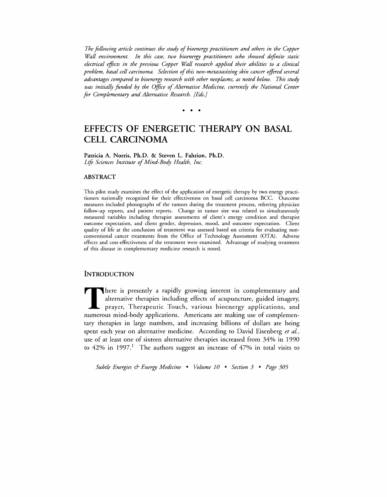*The following article continues the study of bioenergy practitioners and others in the Copper Wall environment. In this case, two bioenergy practitioners who showed definite static electrical effects in the previous Copper Wall research applied their abilities to a clinical*  problem, basal cell carcinoma. Selection of this non-metastasizing skin cancer offered several *advantages compared to bioenergy research with other neoplasms, as noted below. This study was initially funded by the Office of Alternative Medicine, currently the National Center for Complementary and Alternative Research. [Eds.]* 

• • •

# **EFFECTS OF ENERGETIC THERAPY ON BASAL CELL CARCINOMA**

Patricia A. Norris, Ph.D. & Steven L. Fahrion, Ph.D. Life Sciences Institute of Mind-Body Health, Inc.

#### ABSTRACT

This pilot study examines the effect of the application of energetic therapy by two energy practitioners nationally recognized for their effectiveness on basal cell carcinoma BCe. Outcome measures included photographs of the tumors during the treatment process, referring physician follow-up reports, and patient reports. Change in tumor size was related to simultaneously measured variables including therapist assessments of client's energy condition and therapist outcome expectation, and client gender, depression, mood, and outcome expectation. Client quality of life at the conclusion of treatment was assessed based on criteria for evaluating nonconventional cancer treatments from the Office of Technology Assessment (OTA). Adverse effects and cost-effectiveness of the treatment were examined. Advantage of studying treatment of this disease in complementary medicine research is noted.

### **INTRODUCTION**

There is presently a rapidly growing interest in complementary and alternative therapies including effects of acupuncture, guided imagery, **L** prayer, Therapeutic Touch, various bioenergy applications, and numerous mind-body applications. Americans are making use of complementary therapies in large numbers, and increasing billions of dollars are being spent each year on alternative medicine. According to David Eisenberg *et aL,*  use of at least one of sixteen alternative therapies increased from 34% in 1990 to  $42\%$  in 1997.<sup>1</sup> The authors suggest an increase of  $47\%$  in total visits to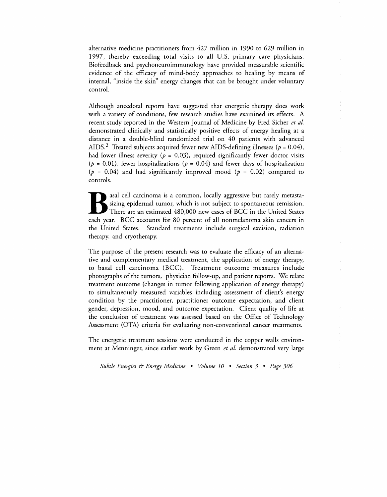alternative medicine practitioners from 427 million in 1990 to 629 million in 1997, thereby exceeding total visits to all U.S. primary care physicians. Biofeedback and psychoneuroimmunology have provided measurable scientific evidence of the efficacy of mind-body approaches to healing by means of internal, "inside the skin" energy changes that can be brought under voluntary control.

Although anecdotal reports have suggested that energetic therapy does work with a variety of conditions, few research studies have examined its effects. A recent study reported in the Western Journal of Medicine by Fred Sicher *et al.*  demonstrated clinically and statistically positive effects of energy healing at a distance in a double-blind randomized trial on 40 patients with advanced AIDS.<sup>2</sup> Treated subjects acquired fewer new AIDS-defining illnesses ( $p = 0.04$ ), had lower illness severity ( $p = 0.03$ ), required significantly fewer doctor visits ( $p = 0.01$ ), fewer hospitalizations ( $p = 0.04$ ) and fewer days of hospitalization ( $p = 0.04$ ) and had significantly improved mood ( $p = 0.02$ ) compared to controls.

asal cell carcinoma is a common, locally aggressive but rarely metasta-<br>sizing epidermal tumor, which is not subject to spontaneous remission.<br>There are an estimated 480,000 new cases of BCC in the United States<br>each year. sizing epidermal tumor, which is not subject to spontaneous remission. There are an estimated 480,000 new cases of BCC in the United States each year. BCC accounts for 80 percent of all nonmelanoma skin cancers in the United States. Standard treatments include surgical excision, radiation therapy, and cryotherapy.

The purpose of the present research was to evaluate the efficacy of an alternative and complementary medical treatment, the application of energy therapy, to basal cell carcinoma (BCC). Treatment outcome measures include photographs of the tumors, physician follow-up, and patient reports. We relate treatment outcome (changes in tumor following application of energy therapy) to simultaneously measured variables including assessment of client's energy condition by the practitioner, practitioner outcome expectation, and client gender, depression, mood, and outcome expectation. Client quality of life at the conclusion of treatment was assessed based on the Office of Technology Assessment (OTA) criteria for evaluating non-conventional cancer treatments.

The energetic treatment sessions were conducted in the copper walls environment at Menninger, since earlier work by Green *et al.* demonstrated very large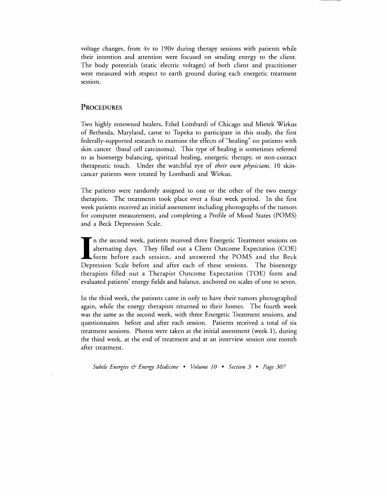voltage changes, from 4v to 190v during therapy sessions with patients while their intention and attention were focused on sending energy to the client. The body potentials (static electric voltages) of both client and practitioner were measured with respect to earth ground during each energetic treatment session.

## PROCEDURES

Two highly renowned healers, Ethel Lombardi of Chicago and Mietek Wirkus of Bethesda, Maryland, came to Topeka to participate in this study, the first federally-supported research to examine the effects of "healing" on patients with skin cancer (basal cell carcinoma). This type of healing is sometimes referred to as bioenergy balancing, spiritual healing, energetic therapy, or non-contact therapeutic touch. Under the watchful eye of *their own physicians,* 10 skincancer patients were treated by Lombardi and Wirkus.

The patients were randomly assigned to one or the other of the two energy therapists. The treatments took place over a four week period. In the first week patients received an initial assessment including photographs of the tumors for computer measurement, and completing a Profile of Mood States (POMS) and a Beck Depression Scale.

I in the second week, patients received three Energetic Treatment sessions on alternating days. They filled out a Client Outcome Expectation (COE) form before each session, and answered the POMS and the Beck Depression Scale before and after each of these sessions. The bioenergy therapists filled out a Therapist Outcome Expectation (TOE) form and evaluated patients' energy fields and balance, anchored on scales of one to seven.

In the third week, the patients came in only to have their tumors photographed again, while the energy therapists returned to their homes. The fourth week was the same as the second week, with three Energetic Treatment sessions, and questionnaires before and after each session. Patients received a total of six treatment sessions. Photos were taken at the initial assessment (week 1), during the third week, at the end of treatment and at an interview session one month after treatment.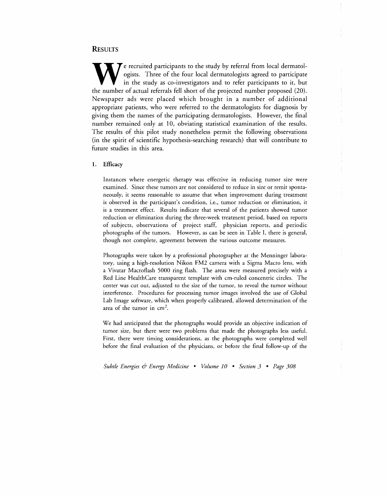## **RESULTS**

 $\sum$   $\epsilon$  recruited participants to the study by referral from local dermatologists. Three of the four local dermatologists agreed to participate in the study as co-investigators and to refer participants to it, but the number of actual referrals fell short of the projected number proposed (20). Newspaper ads were placed which brought in a number of additional appropriate patients, who were referred to the dermatologists for diagnosis by giving them the names of the participating dermatologists. However, the final number remained only at 10) obviating statistical examination of the results. The results of this pilot study nonetheless permit the following observations (in the spirit of scientific hypothesis-searching research) that will contribute to future studies in this area.

#### 1. Efficacy

Instances where energetic therapy was effective in reducing tumor size were examined. Since these tumors are not considered to reduce in size or remit spontaneously) it seems reasonable to assume that when improvement during treatment is observed in the participant's condition, i.e., tumor reduction or elimination, it is a treatment effect. Results indicate that several of the patients showed tumor reduction or elimination during the three-week treatment period, based on reports of subjects, observations of project staff, physician reports, and periodic photographs of the tumors. However, as can be seen in Table I, there is general, though not complete, agreement between the various outcome measures.

Photographs were taken by a professional photographer at the Menninger laboratory, using a high-resolution Nikon FM2 camera with a Sigma Macro lens, with a Vivatar Macroflash 5000 ring flash. The areas were measured precisely with a Red Line HealthCare transparent template with em-ruled concentric circles. The center was cut out, adjusted to the size of the tumor, to reveal the tumor without interference. Procedures for processing tumor images involved the use of Global Lab Image software, which when properly calibrated, allowed determination of the area of the tumor in  $cm<sup>2</sup>$ .

We had anticipated that the photographs would provide an objective indication of tumor size, but there were two problems that made the photographs less useful. First, there were timing considerations, as the photographs were completed well before the final evaluation of the physicians, or before the final follow-up of the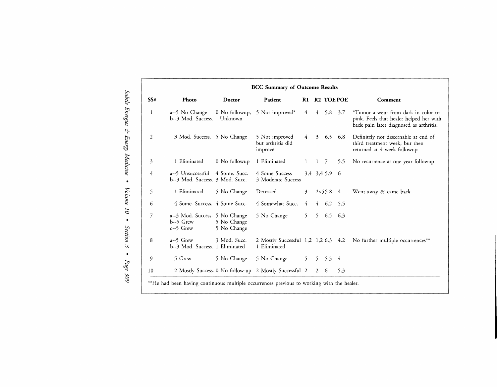|     | <b>BCC Summary of Outcome Results</b>                        |                            |                                                        |                |   |               |                  |                                                                                                                           |
|-----|--------------------------------------------------------------|----------------------------|--------------------------------------------------------|----------------|---|---------------|------------------|---------------------------------------------------------------------------------------------------------------------------|
| SS# | Photo                                                        | Doctor                     | Patient                                                | R1             |   |               | <b>R2 TOEPOE</b> | Comment                                                                                                                   |
| 1   | a--5 No Change<br>b--3 Mod. Success.                         | 0 No followup,<br>Unknown  | 5 Not improved*                                        | 4              |   | $4\quad 5.8$  | 3.7              | *Tumor a went from dark in color to<br>pink. Feels that healer helped her with<br>back pain later diagnosed as arthritis. |
| 2   | 3 Mod. Success. 5 No Change                                  |                            | 5 Not improved<br>but arthritis did<br>improve         | 4              |   | $3\quad 6.5$  | 6.8              | Definitely not discernable at end of<br>third treatment week, but then<br>returned at 4 week followup                     |
| 3   | 1 Eliminated                                                 | 0 No followup              | 1 Eliminated                                           | $\mathbf{1}$   |   | - 7           | 5.5              | No recurrence at one year followup                                                                                        |
| 4   | a--5 Unsuccessful<br>b--3 Mod. Success. 3 Mod. Succ.         | 4 Some. Succ.              | 4 Some Success<br>3 Moderate Success                   |                |   | 3.4 3.4 5.9 6 |                  |                                                                                                                           |
| 5   | 1 Eliminated                                                 | 5 No Change                | Deceased                                               | $\overline{3}$ |   | $2 > 55.8$ 4  |                  | Went away & came back                                                                                                     |
| 6   | 4 Some. Success. 4 Some Succ.                                |                            | 4 Somewhat Succ.                                       | 4              |   | 4 6.2         | 5.5              |                                                                                                                           |
| 7   | a--3 Mod. Success. 5 No Change<br>$b-5$ Grew<br>$c$ --5 Grew | 5 No Change<br>5 No Change | 5 No Change                                            | 5 <sup>7</sup> |   | 5 6.5 6.3     |                  |                                                                                                                           |
| 8   | $a-5$ Grew<br>b--3 Mod. Success. 1 Eliminated                | 3 Mod. Succ.               | 2 Mostly Successful 1,2 1,2 6.3 4.2<br>1 Eliminated    |                |   |               |                  | No further multiple occurrences**                                                                                         |
| 9   | 5 Grew                                                       | 5 No Change                | 5 No Change                                            | 5 <sup>7</sup> |   | $5 \quad 5.3$ | -4               |                                                                                                                           |
| 10  |                                                              |                            | 2 Mostly Success. 0 No follow-up 2 Mostly Successful 2 |                | 2 | -6            | 5.3              |                                                                                                                           |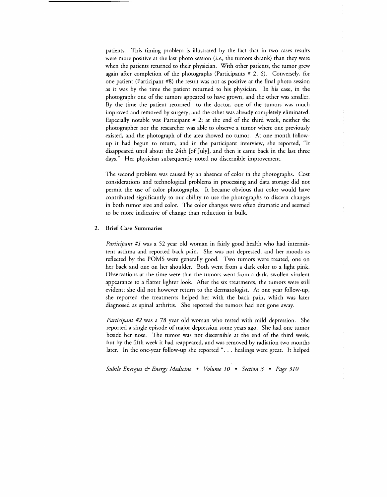patients. This timing problem is illustrated by the fact that in two cases results were more positive at the last photo session *(i.e.,* the tumors shrank) than they were when the patients returned to their physician. With other patients, the tumor grew again after completion of the photographs (Participants # 2, 6). Conversely, for one patient (Participant #8) the result was not as positive at the final photo session as it was by the time the patient returned to his physician. In his case, in the photographs one of the tumors appeared to have grown, and the other was smaller. By the time the patient returned to the doctor, one of the tumors was much improved and removed by surgery, and the other was already completely eliminated. Especially notable was Participant  $# 2$ : at the end of the third week, neither the photographer nor the researcher was able to observe a tumor where one previously existed, and the photograph of the area showed no tumor. At one month followup it had begun to return, and in the participant interview, she reported, "It disappeared until about the 24th [of July], and then it came back in the last three days." Her physician subsequently noted no discernible improvement.

The second problem was caused by an absence of color in the photographs. Cost considerations and technological problems in processing and data storage did not permit the use of color photographs. It became obvious that color would have contributed significantly to our ability to use the photographs to discern changes in both tumor size and color. The color changes were often dramatic and seemed to be more indicative of change than reduction in bulk.

#### 2. Brief Case Summaries

*Participant #1* was a 52 year old woman in fairly good health who had intermittent asthma and reported back pain. She was not depressed, and her moods as reflected by the POMS were generally good. Two tumors were treated, one on her back and one on her shoulder. Both went from a dark color to a light pink. Observations at the time were that the tumors went from a dark, swollen virulent appearance to a flatter lighter look. After the six treatments, the tumors were still evident; she did not however return to the dermatologist. At one year follow-up, she reported the treatments helped her with the back pain, which was later diagnosed as spinal arthritis. She reported the tumors had not gone away.

*Participant* #2 was a 78 year old woman who tested with mild depression. She reported a single episode of major depression some years ago. She had one tumor beside her nose. The tumor was not discernible at the end of the third week, but by the fifth week it had reappeared, and was removed by radiation two months later. In the one-year follow-up she reported "... healings were great. It helped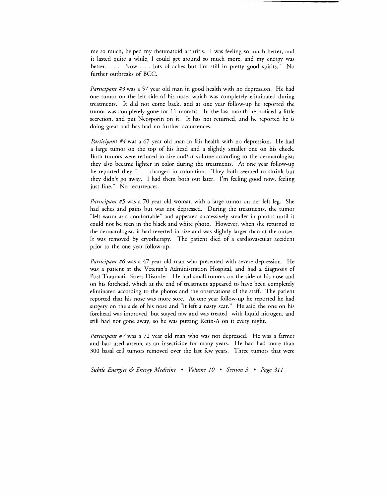me so much, helped my rheumatoid arthritis. I was feeling so much better, and it lasted quite a while, I could get around so much more, and my energy was better. . . . Now . . . lots of aches but I'm still in pretty good spirits." No further outbreaks of BCC.

*Participant #3* was a 57 year old man in good health with no depression. He had one tumor on the left side of his nose, which was completely eliminated during treatments. It did not come back, and at one year follow-up he reported the tumor was completely gone for 11 months. In the last month he noticed a little secretion, and put Neosporin on it. It has not returned, and he reported he is doing great and has had no further occurrences.

*Participant #4* was a 67 year old man in fair health with no depression. He had a large tumor on the top of his head and a slightly smaller one on his cheek. Both tumors were reduced in size and/or volume according to the dermatologist; they also became lighter in color during the treatments. At one year follow-up he reported they ". . . changed in coloration. They both seemed to shrink but they didn't go away. I had them both out later. I'm feeling good now, feeling just fine." No recurrences.

*Participant #5* was a 70 year old woman with a large tumor on her left leg. She had aches and pains but was not depressed. During the treatments, the tumor "felt warm and comfortable" and appeared successively smaller in photos until it could not be seen in the black and white photo. However, when she returned to the dermatologist, it had reverted in size and was slightly larger than at the outset. It was removed by cryotherapy. The patient died of a cardiovascular accident prior to the one year follow-up.

*Participant #6* was a 47 year old man who presented with severe depression. He was a patient at the Veteran's Administration Hospital, and had a diagnosis of Post Traumatic Stress Disorder. He had small tumors on the side of his nose and on his forehead, which at the end of treatment appeared to have been completely eliminated according to the photos and the observations of the staff. The patient reported that his nose was more sore. At one year follow-up he reported he had surgery on the side of his nose and "it left a nasty scar." He said the one on his forehead was improved, but stayed raw and was treated with liquid nitrogen, and still had not gone away, so he was putting Retin-A on it every night.

*Participant* #7 was a 72 year old man who was not depressed. He was a farmer and had used arsenic as an insecticide for many years. He had had more than 300 basal cell tumors removed over the last few years. Three tumors that were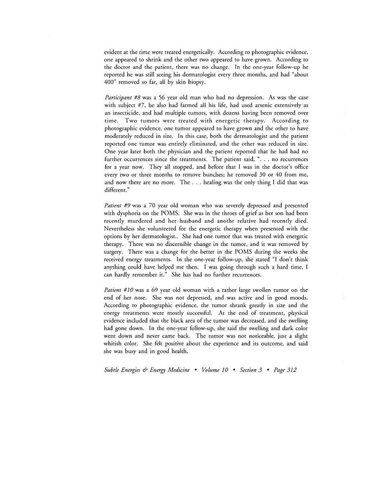evident at the time were treated energetically. According to photographic evidence, one appeared to shrink and the other two appeared to have grown. According to the doctor and the patient, there was no change. In the one-year follow-up he reported he was still seeing his dermatologist every three months, and had "about 400" removed so far, all by skin biopsy.

*Participant* #8 was a 56 year old man who had no depression. As was the case with subject #7, he also had farmed all his life, had used arsenic extensively as an insecticide, and had multiple tumors, with dozens having been removed over time. Two tumors were treated with energetic therapy. According to photographic evidence, one tumor appeared to have grown and the other to have moderately reduced in size. In this case, both the dermatologist and the patient reported one tumor was entirely eliminated, and the other was reduced in size. One year later both the physician and the patient reported that he had had no further occurrences since the treatments. The patient said, ". . . no recurrences for a year now. They all stopped, and before that I was in the doctor's office every two or three months to remove bunches; he removed 30 or 40 from me, and now there are no more. The ... healing was the only thing I did that was different."

*Patient #9* was a 70 year old woman who was severely depressed and presented with dysphoria on the POMS. She was in the throes of grief as her son had been recently murdered and her husband and anothr relative had recently died. Nevertheless she volunteered for the energetic therapy when presented with the options by her dermatologist.. She had one tumor that was treated with energetic therapy. There was no discernible change in the tumor, and it was removed by surgery. There was a change for the better in the POMS during the weeks she received energy treatments. In the one-year follow-up, she stated "I don't think anything could have helped me then. I was going through such a hard time, I can hardly remember it." She has had no further recurrences.

*Patient #10* was a 69 year old woman with a rather large swollen tumor on the end of her nose. She was not depressed, and was active and in good moods. According to photographic evidence, the tumor shrank greatly in size and the energy treatments were mostly successful. At the end of treatment, physical evidence included that the black area of the tumor was decreased, and the swelling had gone down. In the one-year follow-up, she said' the swelling and dark color went down and never carne back. The tumor was not noticeable, just a slight whitish color. She felt positive about the experience and its outcome, and said she was busy and in good health.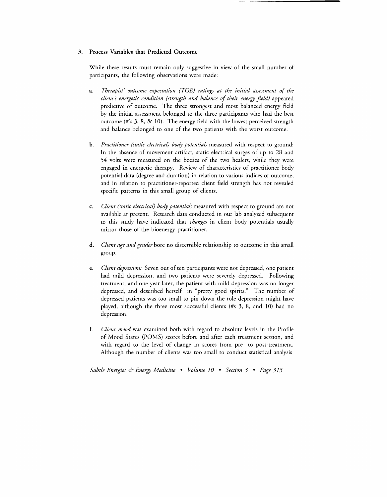#### 3. Process Variables that Predicted Outcome

While these results must remain only suggestive in view of the small number of participants, the following observations were made:

- a. *Therapist' outcome expectation (TOE) ratings at the initial assessment of the client's energetic condition (strength and balance of their energy field)* appeared predictive of outcome. The three strongest and most balanced energy field by the initial assessment belonged to the three participants who had the best outcome (#'s 3, 8, & 10). The energy field with the lowest perceived strength and balance belonged to one of the two patients with the worst outcome.
- b. *Practitioner (static electrical) body potentials* measured with respect to ground: In the absence of movement artifact, static electrical surges of up to 28 and 54 volts were measured on the bodies of the two healers, while they were engaged in energetic therapy. Review of characteristics of practitioner body potential data (degree and duration) in relation to various indices of outcome, and in relation to practitioner-reported client field strength has not revealed specific patterns in this small group of clients.
- c. *Client (static electrical) body potentials* measured with respect to ground are not available at present. Research data conducted in our lab analyzed subsequent to this study have indicated that *changes* in client body potentials usually mirror those of the bioenergy practitioner.
- d. *Client age and gender* bore no discernible relationship to outcome in this small group.
- e. *Client depression:* Seven out of ten participants were not depressed, one patient had mild depression, and two patients were severely depressed. Following treatment, and one year later, the patient with mild depression was no longer depressed, and described herself in "pretty good spirits." The number of depressed patients was too small to pin down the role depression might have played, although the three most successful clients *(#s* 3, 8, and 10) had no depression.
- *£ Client mood* was examined both with regard to absolute levels in the Profile of Mood States (POMS) scores before and after each treatment session, and with regard to the level of change in scores from pre- to post-treatment. Although the number of clients was too small to conduct statistical analysis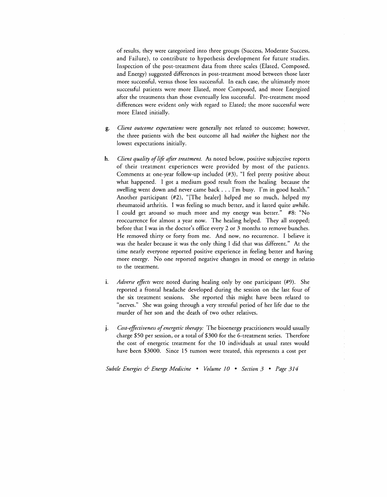of results, they were categorized into three groups (Success, Moderate Success, and Failure), to contribute to hypothesis development for future studies. Inspection of the post-treatment data from three scales (Elated, Composed, and Energy) suggested differences in post-treatment mood between those later more successful, versus those less successful. In each case, the ultimately more successful patients were more Elated, more Composed, and more Energized after the treatments than those eventually less successful. Pre-treatment mood differences were evident only with regard to Elated; the more successful were more Elated initially.

- g. *Client outcome expectations* were generally not related to outcome; however, the three patients with the best outcome all had *neither* the highest nor the lowest expectations initially.
- h. *Client quality of life after treatment*. As noted below, positive subjective reports of their treatment experiences were provided by most of the patients. Comments at one-year follow-up included (#3), "I feel pretty positive about what happened. I got a medium good result from the healing because the swelling went down and never came back ... I'm busy. I'm in good health." Another participant (#2), "[The healer] helped me so much, helped my rheumatoid arthritis. I was feeling so much better, and it lasted quite awhile. I could get around so much more and my energy was better." #8: "No reoccurrence for almost a year now. The healing helped. They all stopped; before that I was in the doctor's office every 2 or 3 months to remove bunches. He removed thirty or forty from me. And now, no recurrence. I believe it was the healer because it was the only thing I did that was different." At the time nearly everyone reported positive experience in feeling better and having more energy. No one reported negative changes in mood or energy in relatio to the treatment.
- i. *Adverse effects* were noted during healing only by one participant (#9). She reported a frontal headache developed during the session on the last four of the six treatment sessions. She reported this might have been related to "nerves." She was going through a very stressful period of her life due to the murder of her son and the death of two other relatives.
- j. *Cost-effectiveness of energetic therapy*: The bioenergy practitioners would usually charge \$50 per session, or a total of \$300 for the 6-treatment series. Therefore the cost of energetic treatment for the 10 individuals at usual rates would have been \$3000. Since 15 tumors were treated, this represents a cost per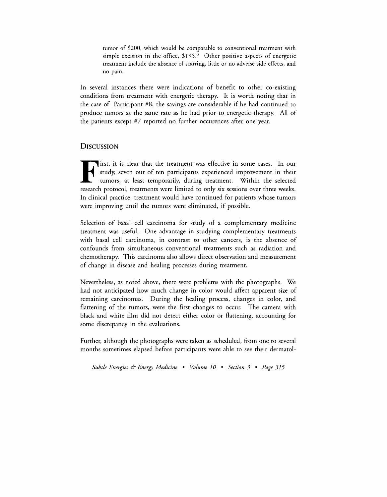tumor of \$200, which would be comparable to conventional treatment with simple excision in the office,  $$195.<sup>3</sup>$  Other positive aspects of energetic treatment include the absence of scarring, little or no adverse side effects, and no pain.

In several instances there were indications of benefit to other co-existing conditions from treatment with energetic therapy. It is worth noting that in the case of Participant #8, the savings are considerable if he had continued to produce tumors at the same rate as he had prior to energetic therapy. All of the patients except #7 reported no further occurences after one year.

## **DISCUSSION**

First, it is clear that the treatment was effective in some cases. In our study, seven out of ten participants experienced improvement in their tumors, at least temporarily, during treatment. Within the selected research p study, seven out of ten participants experienced improvement in their tumors, at least temporarily, during treatment. Within the selected research protocol, treatments were limited to only six sessions over three weeks. In clinical practice, treatment would have continued for patients whose tumors were improving until the tumors were eliminated, if possible.

Selection of basal cell carcinoma for study of a complementary medicine treatment was useful. One advantage in studying complementary treatments with basal cell carcinoma, in contrast to other cancers, is the absence of confounds from simultaneous conventional treatments such as radiation and chemotherapy. This carcinoma also allows direct observation and measurement of change in disease and healing processes during treatment.

Nevertheless, as noted above, there were problems with the photographs. We had not anticipated how much change in color would affect apparent size of remaining carcinomas. During the healing process, changes in color, and flattening of the tumors, were the first changes to occur. The camera with black and white film did not detect either color or flattening, accounting for some discrepancy in the evaluations.

Further, although the photographs were taken as scheduled, from one to several months sometimes elapsed before participants were able to see their dermatol-